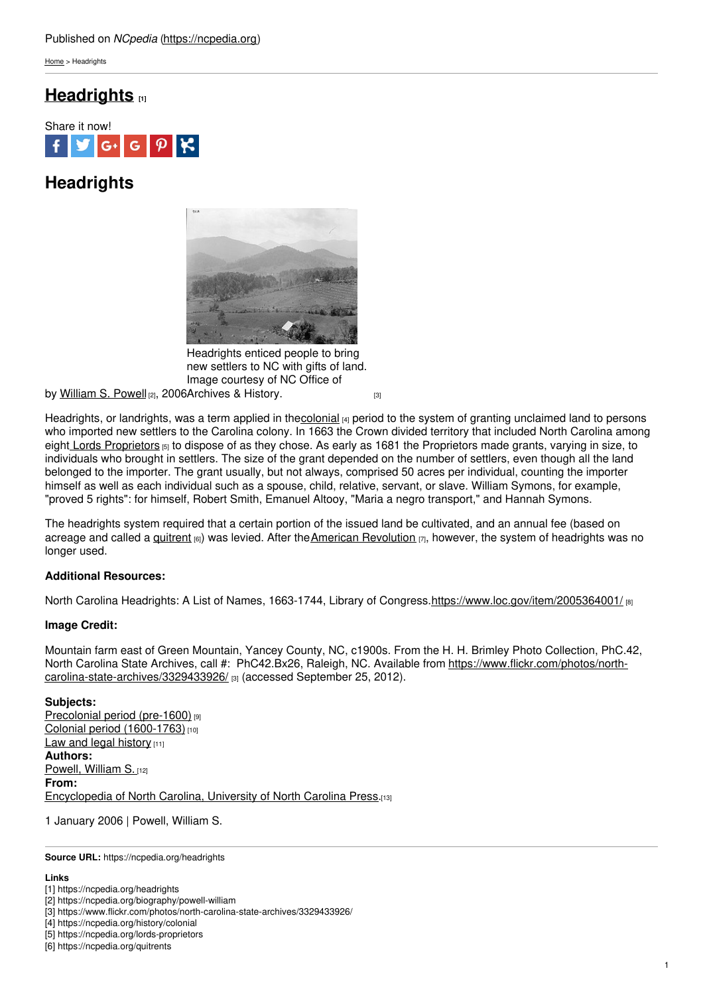[Home](https://ncpedia.org/) > Headrights

# **[Headrights](https://ncpedia.org/headrights) [1]**



# **Headrights**



Headrights enticed people to bring new settlers to NC with gifts of land. Image courtesy of NC Office of

by <u>[William](https://ncpedia.org/biography/powell-william) S. Powell</u> വ, 2006[Archives](https://www.flickr.com/photos/north-carolina-state-archives/3329433926/) & History. <sub>[3]</sub>

Headrights, or landrights, was a term applied in th[ecolonial](https://ncpedia.org/history/colonial) [4] period to the system of granting unclaimed land to persons who imported new settlers to the Carolina colony. In 1663 the Crown divided territory that included North Carolina among eight Lords [Proprietors](https://ncpedia.org/lords-proprietors) [5] to dispose of as they chose. As early as 1681 the Proprietors made grants, varying in size, to individuals who brought in settlers. The size of the grant depended on the number of settlers, even though all the land belonged to the importer. The grant usually, but not always, comprised 50 acres per individual, counting the importer himself as well as each individual such as a spouse, child, relative, servant, or slave. William Symons, for example, "proved 5 rights": for himself, Robert Smith, Emanuel Altooy, "Maria a negro transport," and Hannah Symons.

The headrights system required that a certain portion of the issued land be cultivated, and an annual fee (based on acreage and called a [quitrent](https://ncpedia.org/quitrents)  $_{[6]}$ ) was levied. After the American [Revolution](https://ncpedia.org/american-revolution)  $_{[7]}$ , however, the system of headrights was no longer used.

### **Additional Resources:**

North Carolina Headrights: A List of Names, 1663-1744, Library of Congress[.https://www.loc.gov/item/2005364001/](https://www.loc.gov/item/2005364001/) [8]

### **Image Credit:**

Mountain farm east of Green Mountain, Yancey County, NC, c1900s. From the H. H. Brimley Photo Collection, PhC.42, North Carolina State Archives, call #: PhC42.Bx26, Raleigh, NC. Available from [https://www.flickr.com/photos/north](https://www.flickr.com/photos/north-carolina-state-archives/3329433926/)carolina-state-archives/3329433926/ [3] (accessed September 25, 2012).

#### **Subjects:**

[Precolonial](https://ncpedia.org/category/subjects/prehistory) period (pre-1600) [9] Colonial period [\(1600-1763\)](https://ncpedia.org/category/subjects/colonial-period) [10] Law and legal [history](https://ncpedia.org/category/subjects/laws) [11] **Authors:** [Powell,](https://ncpedia.org/category/authors/powell-william-s-0) William S. [12] **From:** [Encyclopedia](https://ncpedia.org/category/entry-source/encyclopedia-) of North Carolina, University of North Carolina Press.[13]

1 January 2006 | Powell, William S.

**Source URL:** https://ncpedia.org/headrights

#### **Links**

<sup>[1]</sup> https://ncpedia.org/headrights

<sup>[2]</sup> https://ncpedia.org/biography/powell-william

<sup>[3]</sup> https://www.flickr.com/photos/north-carolina-state-archives/3329433926/

<sup>[4]</sup> https://ncpedia.org/history/colonial

<sup>[5]</sup> https://ncpedia.org/lords-proprietors

<sup>[6]</sup> https://ncpedia.org/quitrents